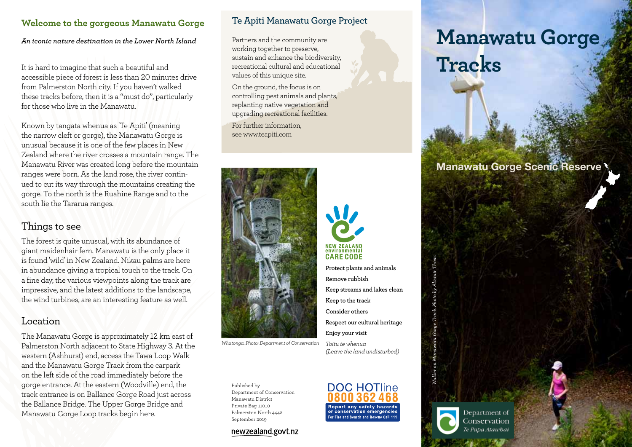## **Welcome to the gorgeous Manawatu Gorge**

*An iconic nature destination in the Lower North Island*

It is hard to imagine that such a beautiful and accessible piece of forest is less than 20 minutes drive from Palmerston North city. If you haven't walked these tracks before, then it is a "must do", particularly for those who live in the Manawatu.

Known by tangata whenua as 'Te Apiti' (meaning the narrow cleft or gorge), the Manawatu Gorge is unusual because it is one of the few places in New Zealand where the river crosses a mountain range. The Manawatu River was created long before the mountain ranges were born. As the land rose, the river continued to cut its way through the mountains creating the gorge. To the north is the Ruahine Range and to the south lie the Tararua ranges.

# Things to see

The forest is quite unusual, with its abundance of giant maidenhair fern. Manawatu is the only place it is found 'wild' in New Zealand. Nikau palms are here in abundance giving a tropical touch to the track. On a fine day, the various viewpoints along the track are impressive, and the latest additions to the landscape, the wind turbines, are an interesting feature as well.

## Location

The Manawatu Gorge is approximately 12 km east of Palmerston North adjacent to State Highway 3. At the western (Ashhurst) end, access the Tawa Loop Walk and the Manawatu Gorge Track from the carpark on the left side of the road immediately before the gorge entrance. At the eastern (Woodville) end, the track entrance is on Ballance Gorge Road just across the Ballance Bridge. The Upper Gorge Bridge and Manawatu Gorge Loop tracks begin here.

### **Te Apiti Manawatu Gorge Project**

Partners and the community are working together to preserve, sustain and enhance the biodiversity, recreational cultural and educational values of this unique site.

On the ground, the focus is on controlling pest animals and plants, replanting native vegetation and upgrading recreational facilities.

For further information, see www.teapiti.com



*Whatonga. Photo: Department of Conservation*

Published by Department of Conservation Manawatu District Private Bag 11010 Palmerston North 4442 September 2019

#### newzealand.govt.nz



# **Manawatu Gorge Tracks**

# Manawatu Gorge Scenic Reserve



**Keep streams and lakes clean Respect our cultural heritage Enjoy your visit** *Toitu te whenua* 

*(Leave the land undisturbed)*

Department of Conservation Te Papa Atawbai

*Walker on Manawatu Gorge Track. Photo by Alistair Thom.*

on Manawatu Gorge Track. Photo by Alistair Tho